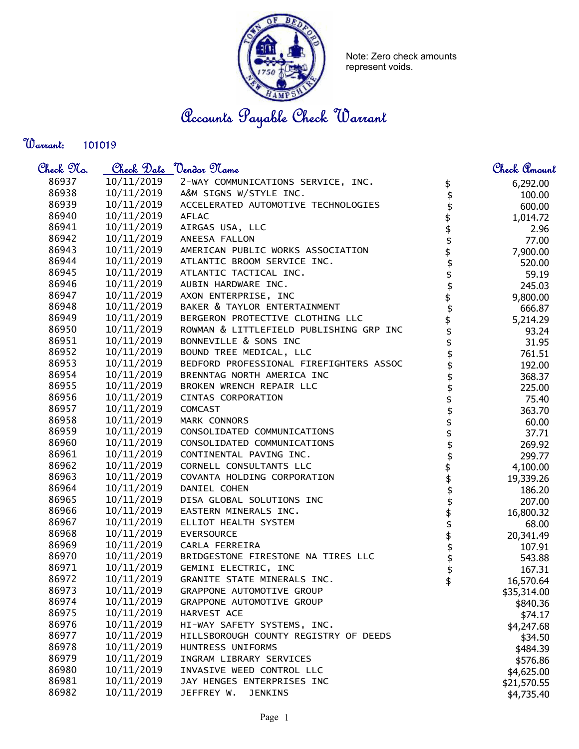

Note: Zero check amounts represent voids.

Accounts Payable Check Warrant

Warrant: 

| <u>Check No.</u> |            | Check Date <u>Vendor Name</u>           |                                | <u>Check Amount</u> |
|------------------|------------|-----------------------------------------|--------------------------------|---------------------|
| 86937            | 10/11/2019 | 2-WAY COMMUNICATIONS SERVICE, INC.      |                                | 6,292.00            |
| 86938            | 10/11/2019 | A&M SIGNS W/STYLE INC.                  | $\frac{2}{3}$                  | 100.00              |
| 86939            | 10/11/2019 | ACCELERATED AUTOMOTIVE TECHNOLOGIES     |                                | 600.00              |
| 86940            | 10/11/2019 | <b>AFLAC</b>                            |                                | 1,014.72            |
| 86941            | 10/11/2019 | AIRGAS USA, LLC                         |                                | 2.96                |
| 86942            | 10/11/2019 | ANEESA FALLON                           |                                | 77.00               |
| 86943            | 10/11/2019 | AMERICAN PUBLIC WORKS ASSOCIATION       |                                | 7,900.00            |
| 86944            | 10/11/2019 | ATLANTIC BROOM SERVICE INC.             |                                | 520.00              |
| 86945            | 10/11/2019 | ATLANTIC TACTICAL INC.                  |                                | 59.19               |
| 86946            | 10/11/2019 | AUBIN HARDWARE INC.                     | \$\$\$\$\$\$\$\$\$\$\$\$\$\$\$ | 245.03              |
| 86947            | 10/11/2019 | AXON ENTERPRISE, INC                    |                                | 9,800.00            |
| 86948            | 10/11/2019 | BAKER & TAYLOR ENTERTAINMENT            |                                | 666.87              |
| 86949            | 10/11/2019 | BERGERON PROTECTIVE CLOTHING LLC        |                                | 5,214.29            |
| 86950            | 10/11/2019 | ROWMAN & LITTLEFIELD PUBLISHING GRP INC |                                | 93.24               |
| 86951            | 10/11/2019 | BONNEVILLE & SONS INC                   |                                | 31.95               |
| 86952            | 10/11/2019 | BOUND TREE MEDICAL, LLC                 |                                | 761.51              |
| 86953            | 10/11/2019 | BEDFORD PROFESSIONAL FIREFIGHTERS ASSOC |                                | 192.00              |
| 86954            | 10/11/2019 | BRENNTAG NORTH AMERICA INC              | \$                             | 368.37              |
| 86955            | 10/11/2019 | BROKEN WRENCH REPAIR LLC                | \$                             | 225.00              |
| 86956            | 10/11/2019 | CINTAS CORPORATION                      | \$<br>\$                       | 75.40               |
| 86957            | 10/11/2019 | COMCAST                                 |                                | 363.70              |
| 86958            | 10/11/2019 | <b>MARK CONNORS</b>                     | \$\$\$                         | 60.00               |
| 86959            | 10/11/2019 | CONSOLIDATED COMMUNICATIONS             |                                | 37.71               |
| 86960            | 10/11/2019 | CONSOLIDATED COMMUNICATIONS             |                                | 269.92              |
| 86961            | 10/11/2019 | CONTINENTAL PAVING INC.                 | <del>ቁ ቁ ቁ ቁ ቁ ቁ ቁ ቁ</del>     | 299.77              |
| 86962            | 10/11/2019 | CORNELL CONSULTANTS LLC                 |                                | 4,100.00            |
| 86963            | 10/11/2019 | COVANTA HOLDING CORPORATION             |                                | 19,339.26           |
| 86964            | 10/11/2019 | DANIEL COHEN                            |                                | 186.20              |
| 86965            | 10/11/2019 | DISA GLOBAL SOLUTIONS INC               |                                | 207.00              |
| 86966            | 10/11/2019 | EASTERN MINERALS INC.                   |                                | 16,800.32           |
| 86967            | 10/11/2019 | ELLIOT HEALTH SYSTEM                    |                                | 68.00               |
| 86968            | 10/11/2019 | <b>EVERSOURCE</b>                       |                                | 20,341.49           |
| 86969            | 10/11/2019 | CARLA FERREIRA                          |                                | 107.91              |
| 86970            | 10/11/2019 | BRIDGESTONE FIRESTONE NA TIRES LLC      |                                | 543.88              |
| 86971            | 10/11/2019 | GEMINI ELECTRIC, INC                    | \$                             | 167.31              |
| 86972            | 10/11/2019 | GRANITE STATE MINERALS INC.             | İ,                             | 16,570.64           |
| 86973            | 10/11/2019 | GRAPPONE AUTOMOTIVE GROUP               |                                | \$35,314.00         |
| 86974            | 10/11/2019 | GRAPPONE AUTOMOTIVE GROUP               |                                | \$840.36            |
| 86975            | 10/11/2019 | HARVEST ACE                             |                                | \$74.17             |
| 86976            | 10/11/2019 | HI-WAY SAFETY SYSTEMS, INC.             |                                | \$4,247.68          |
| 86977            | 10/11/2019 | HILLSBOROUGH COUNTY REGISTRY OF DEEDS   |                                | \$34.50             |
| 86978            | 10/11/2019 | HUNTRESS UNIFORMS                       |                                | \$484.39            |
| 86979            | 10/11/2019 | INGRAM LIBRARY SERVICES                 |                                | \$576.86            |
| 86980            | 10/11/2019 | INVASIVE WEED CONTROL LLC               |                                | \$4,625.00          |
| 86981            | 10/11/2019 | JAY HENGES ENTERPRISES INC              |                                | \$21,570.55         |
| 86982            | 10/11/2019 | JEFFREY W.<br><b>JENKINS</b>            |                                | \$4,735.40          |